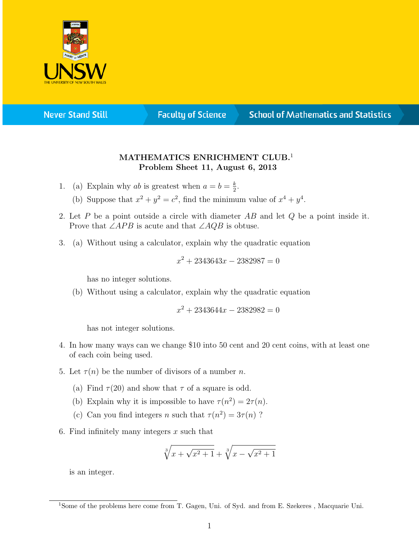

**Never Stand Still** 

**Faculty of Science** 

## **School of Mathematics and Statistics**

## MATHEMATICS ENRICHMENT CLUB.<sup>1</sup> Problem Sheet 11, August 6, 2013

- 1. (a) Explain why ab is greatest when  $a = b = \frac{k}{2}$  $\frac{k}{2}$ .
	- (b) Suppose that  $x^2 + y^2 = c^2$ , find the minimum value of  $x^4 + y^4$ .
- 2. Let  $P$  be a point outside a circle with diameter  $AB$  and let  $Q$  be a point inside it. Prove that  $\angle APB$  is acute and that  $\angle AQB$  is obtuse.
- 3. (a) Without using a calculator, explain why the quadratic equation

$$
x^2 + 2343643x - 2382987 = 0
$$

has no integer solutions.

(b) Without using a calculator, explain why the quadratic equation

$$
x^2 + 2343644x - 2382982 = 0
$$

has not integer solutions.

- 4. In how many ways can we change \$10 into 50 cent and 20 cent coins, with at least one of each coin being used.
- 5. Let  $\tau(n)$  be the number of divisors of a number n.
	- (a) Find  $\tau(20)$  and show that  $\tau$  of a square is odd.
	- (b) Explain why it is impossible to have  $\tau(n^2) = 2\tau(n)$ .
	- (c) Can you find integers n such that  $\tau(n^2) = 3\tau(n)$ ?
- 6. Find infinitely many integers  $x$  such that

$$
\sqrt[3]{x + \sqrt{x^2 + 1}} + \sqrt[3]{x - \sqrt{x^2 + 1}}
$$

is an integer.

<sup>&</sup>lt;sup>1</sup>Some of the problems here come from T. Gagen, Uni. of Syd. and from E. Szekeres, Macquarie Uni.